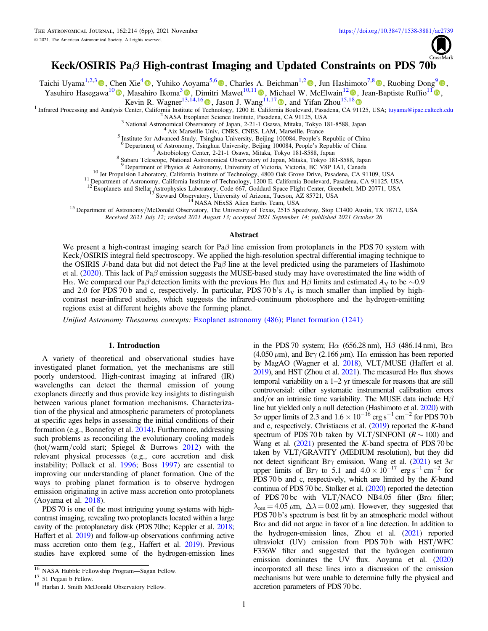

# Keck/OSIRIS Paβ High-contrast Imaging and Updated Constraints on PDS 70b

Taichi Uyama<sup>1,2,3</sup> , Chen Xie<sup>[4](https://orcid.org/0000-0002-6318-0104)</sup> , Yuhiko Aoyama<sup>5,[6](https://orcid.org/0000-0003-0568-9225)</sup> [,](https://orcid.org/0000-0002-3053-3575) Charles A. Beichman<sup>1,[2](https://orcid.org/0000-0002-5627-5471)</sup> , Jun Hashimoto<sup>7,[8](https://orcid.org/0000-0002-3053-3575)</sup> , Ruobing Dong<sup>[9](https://orcid.org/0000-0001-9290-7846)</sup> , , Yasuhiro Hasegawa<sup>1[0](https://orcid.org/0000-0002-9017-3663)</sup><sup>®</sup>[,](https://orcid.org/0000-0002-8895-4735) Masahiro Ikoma<sup>3</sup><sup>®</sup>, Dimitri Mawet<sup>[1](https://orcid.org/0000-0003-2233-4821)0,11</sup><sup>®</sup>, Michael W. McElwain<sup>12</sup><sup>®</sup>, Jean-Baptiste Ruffio<sup>11</sup><sup>®</sup>,

Kevin R. Wagner<sup>[13,1](https://orcid.org/0000-0002-5658-5971)4,1[6](https://orcid.org/0000-0002-4309-6343)</sup> , Jason J. Wang<sup>[1](https://orcid.org/0000-0002-8895-4735)1,1[7](https://orcid.org/0000-0003-0774-6502)</sup> , and Yifan Zhou<sup>15[,1](https://orcid.org/0000-0003-0241-8956)[8](https://orcid.org/0000-0003-2969-6040)</sup> and  $\frac{15,18}{2}$ 

<sup>2</sup> NASA Exoplanet Science Institute, Pasadena, CA [9112](https://orcid.org/0000-0003-2969-6040)5, USA<br><sup>3</sup> National Astronomical Observatory of Japan, 2-21-1 Osawa, Mitaka, Tokyo 181-8588, Japan<br><sup>4</sup> Aix Marseille Univ, CNRS, CNES, LAM, Marseille, France<br><sup>5</sup> Inst

<sup>10</sup> Jet Propulsion Laboratory, California Institute of Technology, 4800 Oak Grove Drive, Pasadena, CA 91109, USA<br><sup>11</sup> Department of Astronomy, California Institute of Technology, 1200 E. California Boulevard, Pasadena, CA

12 Exoplanets and Stellar Astrophysics Laboratory, Code & Cambrina Doucevalu, Cassicolar, CA 21123, Co.<br><sup>13</sup> Steward Observatory, Code 667, Goddard Space Flight Center, Greenbelt, MD 20771, USA<br><sup>13</sup> Steward Observatory, Un

Received 2021 July 12; revised 2021 August 13; accepted 2021 September 14; published 2021 October 26

## Abstract

We present a high-contrast imaging search for Pa $\beta$  line emission from protoplanets in the PDS 70 system with Keck/OSIRIS integral field spectroscopy. We applied the high-resolution spectral differential imaging technique to the OSIRIS J-band data but did not detect the Pa $\beta$  line at the level predicted using the parameters of Hashimoto et al. ([2020](#page-5-0)). This lack of Pa $\beta$  emission suggests the MUSE-based study may have overestimated the line width of Hα. We compared our Paβ detection limits with the previous Hα flux and Hβ limits and estimated  $A_V$  to be ~0.9 and 2.0 for PDS 70 b and c, respectively. In particular, PDS 70 b's  $A_V$  is much smaller than implied by highcontrast near-infrared studies, which suggests the infrared-continuum photosphere and the hydrogen-emitting regions exist at different heights above the forming planet.

Unified Astronomy Thesaurus concepts: [Exoplanet astronomy](http://astrothesaurus.org/uat/486) (486); [Planet formation](http://astrothesaurus.org/uat/1241) (1241)

# 1. Introduction

A variety of theoretical and observational studies have investigated planet formation, yet the mechanisms are still poorly understood. High-contrast imaging at infrared (IR) wavelengths can detect the thermal emission of young exoplanets directly and thus provide key insights to distinguish between various planet formation mechanisms. Characterization of the physical and atmospheric parameters of protoplanets at specific ages helps in assessing the initial conditions of their formation (e.g., Bonnefoy et al. [2014](#page-5-0)). Furthermore, addressing such problems as reconciling the evolutionary cooling models (hot/warm/cold start; Spiegel & Burrows [2012](#page-5-0)) with the relevant physical processes (e.g., core accretion and disk instability; Pollack et al. [1996;](#page-5-0) Boss [1997](#page-5-0)) are essential to improving our understanding of planet formation. One of the ways to probing planet formation is to observe hydrogen emission originating in active mass accretion onto protoplanets (Aoyama et al. [2018](#page-5-0)).

PDS 70 is one of the most intriguing young systems with highcontrast imaging, revealing two protoplanets located within a large cavity of the protoplanetary disk (PDS 70bc; Keppler et al. [2018](#page-5-0); Haffert et al. [2019](#page-5-0)) and follow-up observations confirming active mass accretion onto them (e.g., Haffert et al. [2019](#page-5-0)). Previous studies have explored some of the hydrogen-emission lines

in the PDS 70 system; H $\alpha$  (656.28 nm), H $\beta$  (486.14 nm), Br $\alpha$ (4.050  $\mu$ m), and Br $\gamma$  (2.166  $\mu$ m). H $\alpha$  emission has been reported by MagAO (Wagner et al. [2018](#page-5-0)), VLT/MUSE (Haffert et al. [2019](#page-5-0)), and HST (Zhou et al. [2021](#page-5-0)). The measured H $\alpha$  flux shows temporal variability on a 1–2 yr timescale for reasons that are still controversial: either systematic instrumental calibration errors and/or an intrinsic time variability. The MUSE data include  $H\beta$ line but yielded only a null detection (Hashimoto et al. [2020](#page-5-0)) with  $3\sigma$  upper limits of 2.3 and  $1.6 \times 10^{-16}$  erg s<sup>-1</sup> cm<sup>-2</sup> for PDS 70 b and c, respectively. Christiaens et al. ([2019](#page-5-0)) reported the K-band spectrum of PDS 70 b taken by VLT/SINFONI ( $R \sim 100$ ) and Wang et al.  $(2021)$  $(2021)$  $(2021)$  presented the K-band spectra of PDS 70 bc taken by VLT/GRAVITY (MEDIUM resolution), but they did not detect significant Br $\gamma$  emission. Wang et al. ([2021](#page-5-0)) set  $3\sigma$ upper limits of Br $\gamma$  to 5.1 and  $4.0 \times 10^{-17}$  erg s<sup>-1</sup> cm<sup>-2</sup> for PDS 70 b and c, respectively, which are limited by the K-band continua of PDS 70 bc. Stolker et al. ([2020](#page-5-0)) reported the detection of PDS 70 bc with VLT/NACO NB4.05 filter (Br $\alpha$  filter;  $\lambda_{\rm cen} = 4.05 \,\mu\rm m, \ \Delta\lambda = 0.02 \,\mu\rm m$ . However, they suggested that PDS 70 b's spectrum is best fit by an atmospheric model without Br $\alpha$  and did not argue in favor of a line detection. In addition to the hydrogen-emission lines, Zhou et al. ([2021](#page-5-0)) reported ultraviolet (UV) emission from PDS 70 b with HST/WFC F336W filter and suggested that the hydrogen continuum emission dominates the UV flux. Aoyama et al. ([2020](#page-5-0)) incorporated all these lines into a discussion of the emission mechanisms but were unable to determine fully the physical and accretion parameters of PDS 70 bc.

<sup>&</sup>lt;sup>16</sup> NASA Hubble Fellowship Program—Sagan Fellow.<br><sup>17</sup> 51 Pegasi b Fellow.<br><sup>18</sup> Harlan J. Smith McDonald Observatory Fellow.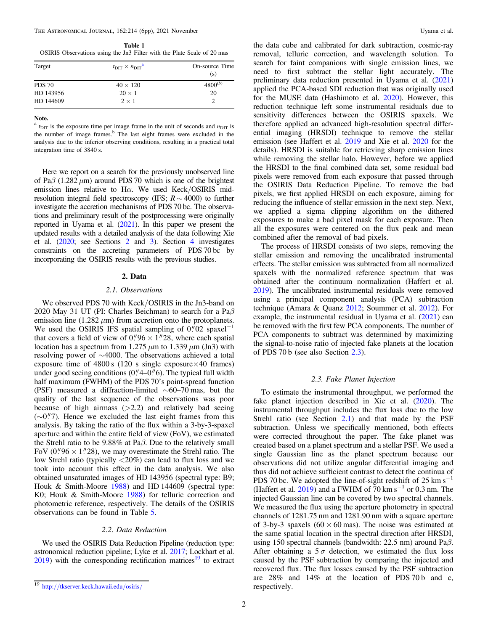<span id="page-1-0"></span>The Astronomical Journal, 162:214 (6pp), 2021 November Uyama et al.

Table 1 OSIRIS Observations using the Jn3 Filter with the Plate Scale of 20 mas

| Target        | $t_{\rm DIT} \times n_{\rm DIT}$ <sup>a</sup> | On-source Time<br>(s) |
|---------------|-----------------------------------------------|-----------------------|
| <b>PDS 70</b> | $40 \times 120$                               | $4800^{(b)}$          |
| HD 143956     | $20 \times 1$                                 | 20                    |
| HD 144609     | $2 \times 1$                                  |                       |

## Note.

 $t_{\text{DIT}}$  is the exposure time per image frame in the unit of seconds and  $n_{\text{DIT}}$  is the number of image frames.<sup>b</sup> The last eight frames were excluded in the analysis due to the inferior observing conditions, resulting in a practical total integration time of 3840 s.

Here we report on a search for the previously unobserved line of Pa $\beta$  (1.282  $\mu$ m) around PDS 70 which is one of the brightest emission lines relative to H $\alpha$ . We used Keck/OSIRIS midresolution integral field spectroscopy (IFS;  $R \sim 4000$ ) to further investigate the accretion mechanisms of PDS 70 bc. The observations and preliminary result of the postprocessing were originally reported in Uyama et al. ([2021](#page-5-0)). In this paper we present the updated results with a detailed analysis of the data following Xie et al. ([2020;](#page-5-0) see Sections 2 and [3](#page-2-0)). Section [4](#page-2-0) investigates constraints on the accreting parameters of PDS 70 bc by incorporating the OSIRIS results with the previous studies.

## 2. Data

### 2.1. Observations

We observed PDS 70 with Keck/OSIRIS in the Jn3-band on 2020 May 31 UT (PI: Charles Beichman) to search for a Pa $\beta$ emission line (1.282  $\mu$ m) from accretion onto the protoplanets. We used the OSIRIS IFS spatial sampling of  $0$ ." $02$  spaxel<sup>-1</sup> that covers a field of view of  $0''96 \times 1''28$ , where each spatial location has a spectrum from 1.275  $\mu$ m to 1.339  $\mu$ m (Jn3) with resolving power of ∼4000. The observations achieved a total exposure time of  $4800 s$  (120 s single exposure  $\times 40$  frames) under good seeing conditions  $(0.4 - 0.6)$ . The typical full width half maximum (FWHM) of the PDS 70's point-spread function (PSF) measured a diffraction-limited ∼60–70 mas, but the quality of the last sequence of the observations was poor because of high airmass  $(>2.2)$  and relatively bad seeing  $(\sim 0.\n$ "7). Hence we excluded the last eight frames from this analysis. By taking the ratio of the flux within a 3-by-3-spaxel aperture and within the entire field of view (FoV), we estimated the Strehl ratio to be 9.88% at Pa $\beta$ . Due to the relatively small FoV (0.796  $\times$  1.728), we may overestimate the Strehl ratio. The low Strehl ratio (typically <20%) can lead to flux loss and we took into account this effect in the data analysis. We also obtained unsaturated images of HD 143956 (spectral type: B9; Houk & Smith-Moore [1988](#page-5-0)) and HD 144609 (spectral type: K0; Houk & Smith-Moore [1988](#page-5-0)) for telluric correction and photometric reference, respectively. The details of the OSIRIS observations can be found in Table 5.

## 2.2. Data Reduction

We used the OSIRIS Data Reduction Pipeline (reduction type: astronomical reduction pipeline; Lyke et al. [2017](#page-5-0); Lockhart et al.  $2019$ ) with the corresponding rectification matrices<sup>19</sup> to extract the data cube and calibrated for dark subtraction, cosmic-ray removal, telluric correction, and wavelength solution. To search for faint companions with single emission lines, we need to first subtract the stellar light accurately. The preliminary data reduction presented in Uyama et al. ([2021](#page-5-0)) applied the PCA-based SDI reduction that was originally used for the MUSE data (Hashimoto et al. [2020](#page-5-0)). However, this reduction technique left some instrumental residuals due to sensitivity differences between the OSIRIS spaxels. We therefore applied an advanced high-resolution spectral differential imaging (HRSDI) technique to remove the stellar emission (see Haffert et al. [2019](#page-5-0) and Xie et al. [2020](#page-5-0) for the details). HRSDI is suitable for retrieving sharp emission lines while removing the stellar halo. However, before we applied the HRSDI to the final combined data set, some residual bad pixels were removed from each exposure that passed through the OSIRIS Data Reduction Pipeline. To remove the bad pixels, we first applied HRSDI on each exposure, aiming for reducing the influence of stellar emission in the next step. Next, we applied a sigma clipping algorithm on the dithered exposures to make a bad pixel mask for each exposure. Then all the exposures were centered on the flux peak and mean combined after the removal of bad pixels.

The process of HRSDI consists of two steps, removing the stellar emission and removing the uncalibrated instrumental effects. The stellar emission was subtracted from all normalized spaxels with the normalized reference spectrum that was obtained after the continuum normalization (Haffert et al. [2019](#page-5-0)). The uncalibrated instrumental residuals were removed using a principal component analysis (PCA) subtraction technique (Amara & Quanz [2012](#page-5-0); Soummer et al. [2012](#page-5-0)). For example, the instrumental residual in Uyama et al.  $(2021)$  $(2021)$  $(2021)$  can be removed with the first few PCA components. The number of PCA components to subtract was determined by maximizing the signal-to-noise ratio of injected fake planets at the location of PDS 70 b (see also Section 2.3).

### 2.3. Fake Planet Injection

To estimate the instrumental throughput, we performed the fake planet injection described in Xie et al. ([2020](#page-5-0)). The instrumental throughput includes the flux loss due to the low Strehl ratio (see Section 2.1) and that made by the PSF subtraction. Unless we specifically mentioned, both effects were corrected throughout the paper. The fake planet was created based on a planet spectrum and a stellar PSF. We used a single Gaussian line as the planet spectrum because our observations did not utilize angular differential imaging and thus did not achieve sufficient contrast to detect the continua of PDS 70 bc. We adopted the line-of-sight redshift of 25 km s<sup> $-1$ </sup> (Haffert et al.  $2019$ ) and a FWHM of 70 km s<sup>-1</sup> or 0.3 nm. The injected Gaussian line can be covered by two spectral channels. We measured the flux using the aperture photometry in spectral channels of 1281.75 nm and 1281.90 nm with a square aperture of 3-by-3 spaxels  $(60 \times 60 \text{ mas})$ . The noise was estimated at the same spatial location in the spectral direction after HRSDI, using 150 spectral channels (bandwidth: 22.5 nm) around Paβ. After obtaining a  $5\sigma$  detection, we estimated the flux loss caused by the PSF subtraction by comparing the injected and recovered flux. The flux losses caused by the PSF subtraction are  $28\%$  and  $14\%$  at the location of PDS 70 b and c, respectively.

<sup>19</sup> http://[tkserver.keck.hawaii.edu](http://tkserver.keck.hawaii.edu/osiris/)/osiris/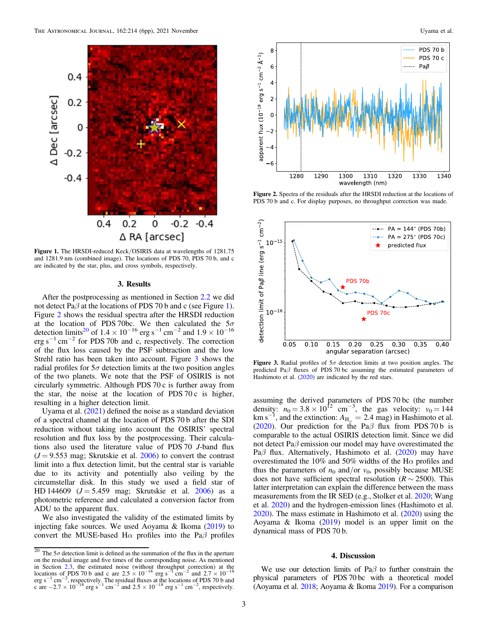<span id="page-2-0"></span>

Figure 1. The HRSDI-reduced Keck/OSIRIS data at wavelengths of 1281.75 and 1281.9 nm (combined image). The locations of PDS 70, PDS 70 b, and c are indicated by the star, plus, and cross symbols, respectively.

## 3. Results

After the postprocessing as mentioned in Section [2.2](#page-1-0) we did not detect Pa $\beta$  at the locations of PDS 70 b and c (see Figure 1). Figure 2 shows the residual spectra after the HRSDI reduction at the location of PDS 70bc. We then calculated the  $5\sigma$ detection limits<sup>20</sup> of  $1.4 \times 10^{-16}$  erg s<sup>-1</sup> cm<sup>-2</sup> and  $1.9 \times 10^{-16}$ erg s<sup> $-1$ </sup> cm<sup> $-2$ </sup> for PDS 70b and c, respectively. The correction of the flux loss caused by the PSF subtraction and the low Strehl ratio has been taken into account. Figure 3 shows the radial profiles for  $5\sigma$  detection limits at the two position angles of the two planets. We note that the PSF of OSIRIS is not circularly symmetric. Although PDS 70 c is further away from the star, the noise at the location of PDS 70 $c$  is higher, resulting in a higher detection limit.

Uyama et al.  $(2021)$  $(2021)$  $(2021)$  defined the noise as a standard deviation of a spectral channel at the location of PDS 70 b after the SDI reduction without taking into account the OSIRIS' spectral resolution and flux loss by the postprocessing. Their calculations also used the literature value of PDS 70 J-band flux  $(J = 9.553$  mag; Skrutskie et al. [2006](#page-5-0)) to convert the contrast limit into a flux detection limit, but the central star is variable due to its activity and potentially also veiling by the circumstellar disk. In this study we used a field star of HD 144609 ( $J = 5.459$  mag; Skrutskie et al. [2006](#page-5-0)) as a photometric reference and calculated a conversion factor from ADU to the apparent flux.

We also investigated the validity of the estimated limits by injecting fake sources. We used Aoyama & Ikoma ([2019](#page-5-0)) to convert the MUSE-based H $\alpha$  profiles into the Pa $\beta$  profiles



Figure 2. Spectra of the residuals after the HRSDI reduction at the locations of PDS 70 b and c. For display purposes, no throughput correction was made.



Figure 3. Radial profiles of  $5\sigma$  detection limits at two position angles. The predicted Pa $\beta$  fluxes of PDS 70 bc assuming the estimated parameters of Hashimoto et al. ([2020](#page-5-0)) are indicated by the red stars.

assuming the derived parameters of PDS 70 bc (the number density:  $n_0 = 3.8 \times 10^{12}$  cm<sup>-3</sup>, the gas velocity:  $v_0 = 144$ km s<sup>-1</sup>, and the extinction:  $A_{H_{\alpha}} = 2.4$  mag) in Hashimoto et al. ([2020](#page-5-0)). Our prediction for the Pa $\beta$  flux from PDS 70 b is comparable to the actual OSIRIS detection limit. Since we did not detect Pa $\beta$  emission our model may have overestimated the Pa $\beta$  flux. Alternatively, Hashimoto et al. ([2020](#page-5-0)) may have overestimated the 10% and 50% widths of the H $\alpha$  profiles and thus the parameters of  $n_0$  and/or  $v_0$ , possibly because MUSE does not have sufficient spectral resolution ( $R \sim 2500$ ). This latter interpretation can explain the difference between the mass measurements from the IR SED (e.g., Stolker et al. [2020](#page-5-0); Wang et al. [2020](#page-5-0)) and the hydrogen-emission lines (Hashimoto et al. [2020](#page-5-0)). The mass estimate in Hashimoto et al. ([2020](#page-5-0)) using the Aoyama & Ikoma ([2019](#page-5-0)) model is an upper limit on the dynamical mass of PDS 70 b.

# 4. Discussion

We use our detection limits of Pa $\beta$  to further constrain the physical parameters of PDS 70 bc with a theoretical model (Aoyama et al. [2018;](#page-5-0) Aoyama & Ikoma [2019](#page-5-0)). For a comparison

<sup>&</sup>lt;sup>20</sup> The 5 $\sigma$  detection limit is defined as the summation of the flux in the aperture on the residual image and five times of the corresponding noise. As mentioned in Section [2.3](#page-1-0), the estimated noise (without throughput correction) at the locations of PDS 70 b and c are  $2.5 \times 10^{-18}$  erg s<sup>-1</sup> cm<sup>-2</sup> and  $2.7 \times 10^{-18}$ erg s<sup> $-1$ </sup> cm<sup>-2</sup>, respectively. The residual fluxes at the locations of PDS 70 b and c are  $-2.7 \times 10^{-18}$  erg s<sup>-1</sup> cm<sup>-2</sup> and  $2.5 \times 10^{-18}$  erg s<sup>-1</sup> cm<sup>-2</sup>, respectively.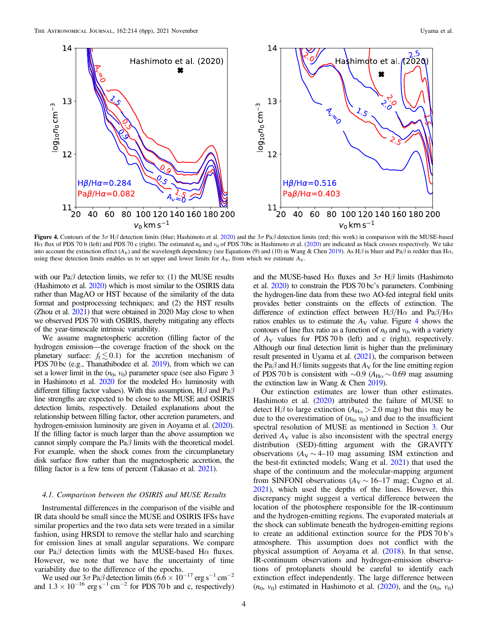<span id="page-3-0"></span>

Figure 4. Contours of the 3 $\sigma$  H $\beta$  detection limits (blue; Hashimoto et al. [2020](#page-5-0)) and the 3 $\sigma$  Pa $\beta$  detection limits (red; this work) in comparison with the MUSE-based H $\alpha$  flux of PDS 70 b (left) and PDS 70 c (right). The estimated  $n_0$  and  $v_0$  of PDS 70bc in Hashimoto et al. ([2020](#page-5-0)) are indicated as black crosses respectively. We take into account the extinction effect  $(A_V)$  and the wavelength dependency (see Equations (9) and (10) in Wang & Chen [2019](#page-5-0)). As H $\beta$  is bluer and Pa $\beta$  is redder than H $\alpha$ , using these detection limits enables us to set upper and lower limits for  $A_V$ , from which we estimate  $A_V$ .

with our Pa $\beta$  detection limits, we refer to: (1) the MUSE results (Hashimoto et al. [2020](#page-5-0)) which is most similar to the OSIRIS data rather than MagAO or HST because of the similarity of the data format and postprocessing techniques; and (2) the HST results (Zhou et al. [2021](#page-5-0)) that were obtained in 2020 May close to when we observed PDS 70 with OSIRIS, thereby mitigating any effects of the year-timescale intrinsic variability.

We assume magnetospheric accretion (filling factor of the hydrogen emission—the coverage fraction of the shock on the planetary surface:  $f_f \lesssim 0.1$ ) for the accretion mechanism of PDS 70 bc (e.g., Thanathibodee et al. [2019](#page-5-0)), from which we can set a lower limit in the  $(n_0, v_0)$  parameter space (see also Figure 3 in Hashimoto et al. [2020](#page-5-0) for the modeled  $H\alpha$  luminosity with different filling factor values). With this assumption,  $H\beta$  and Pa $\beta$ line strengths are expected to be close to the MUSE and OSIRIS detection limits, respectively. Detailed explanations about the relationship between filling factor, other accretion parameters, and hydrogen-emission luminosity are given in Aoyama et al. ([2020](#page-5-0)). If the filling factor is much larger than the above assumption we cannot simply compare the  $Pa\beta$  limits with the theoretical model. For example, when the shock comes from the circumplanetary disk surface flow rather than the magnetospheric accretion, the filling factor is a few tens of percent (Takasao et al. [2021](#page-5-0)).

# 4.1. Comparison between the OSIRIS and MUSE Results

Instrumental differences in the comparison of the visible and IR data should be small since the MUSE and OSIRIS IFSs have similar properties and the two data sets were treated in a similar fashion, using HRSDI to remove the stellar halo and searching for emission lines at small angular separations. We compare our Pa $\beta$  detection limits with the MUSE-based H $\alpha$  fluxes. However, we note that we have the uncertainty of time variability due to the difference of the epochs.

We used our  $3\sigma$  Pa $\beta$  detection limits (6.6 × 10<sup>-17</sup> erg s<sup>-1</sup> cm<sup>-2</sup> and  $1.3 \times 10^{-16}$  erg s<sup>-1</sup> cm<sup>-2</sup> for PDS 70 b and c, respectively)

and the MUSE-based H $\alpha$  fluxes and  $3\sigma$  H $\beta$  limits (Hashimoto et al. [2020](#page-5-0)) to constrain the PDS 70 bc's parameters. Combining the hydrogen-line data from these two AO-fed integral field units provides better constraints on the effects of extinction. The difference of extinction effect between  $H\beta/H\alpha$  and Pa $\beta/H\alpha$ ratios enables us to estimate the  $A_V$  value. Figure 4 shows the contours of line flux ratio as a function of  $n_0$  and  $v_0$ , with a variety of  $A_V$  values for PDS 70 b (left) and c (right), respectively. Although our final detection limit is higher than the preliminary result presented in Uyama et al. ([2021](#page-5-0)), the comparison between the Pa $\beta$  and H $\beta$  limits suggests that  $A_V$  for the line emitting region of PDS 70 b is consistent with  $\sim$ 0.9 (A<sub>Hα</sub>  $\sim$  0.69 mag assuming the extinction law in Wang & Chen [2019](#page-5-0)).

Our extinction estimates are lower than other estimates. Hashimoto et al. ([2020](#page-5-0)) attributed the failure of MUSE to detect H $\beta$  to large extinction ( $A_{H\alpha} > 2.0$  mag) but this may be due to the overestimation of  $(n_0, v_0)$  and due to the insufficient spectral resolution of MUSE as mentioned in Section [3](#page-2-0). Our derived  $A_V$  value is also inconsistent with the spectral energy distribution (SED)-fitting argument with the GRAVITY observations ( $A_V \sim 4$ –10 mag assuming ISM extinction and the best-fit extincted models; Wang et al. [2021](#page-5-0)) that used the shape of the continuum and the molecular-mapping argument from SINFONI observations ( $A_V \sim 16-17$  mag; Cugno et al. [2021](#page-5-0)), which used the depths of the lines. However, this discrepancy might suggest a vertical difference between the location of the photosphere responsible for the IR-continuum and the hydrogen-emitting regions. The evaporated materials at the shock can sublimate beneath the hydrogen-emitting regions to create an additional extinction source for the PDS 70 b's atmosphere. This assumption does not conflict with the physical assumption of Aoyama et al. ([2018](#page-5-0)). In that sense, IR-continuum observations and hydrogen-emission observations of protoplanets should be careful to identify each extinction effect independently. The large difference between  $(n_0, v_0)$  estimated in Hashimoto et al. ([2020](#page-5-0)), and the  $(n_0, v_0)$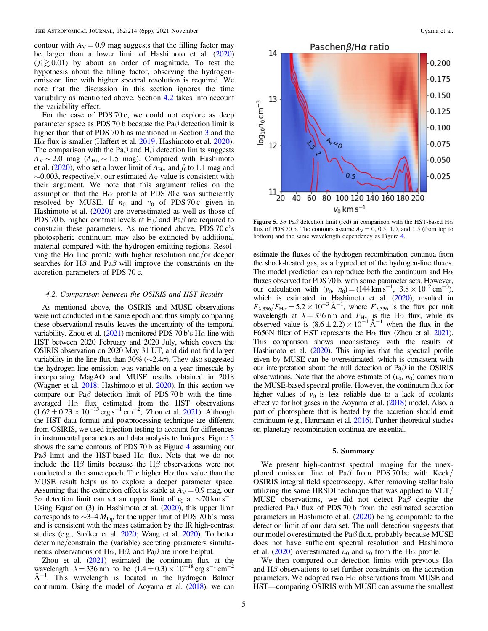contour with  $A_V = 0.9$  mag suggests that the filling factor may be larger than a lower limit of Hashimoto et al. ([2020](#page-5-0))  $(f_f \gtrsim 0.01)$  by about an order of magnitude. To test the hypothesis about the filling factor, observing the hydrogenemission line with higher spectral resolution is required. We note that the discussion in this section ignores the time variability as mentioned above. Section 4.2 takes into account the variability effect.

For the case of PDS 70 c, we could not explore as deep parameter space as PDS 70 b because the Pa $\beta$  detection limit is higher than that of PDS 70 b as mentioned in Section [3](#page-2-0) and the Hα flux is smaller (Haffert et al. [2019;](#page-5-0) Hashimoto et al. [2020](#page-5-0)). The comparison with the Pa $\beta$  and H $\beta$  detection limits suggests  $A_V \sim 2.0$  mag ( $A_{H<sub>0</sub>} \sim 1.5$  mag). Compared with Hashimoto et al. ([2020](#page-5-0)), who set a lower limit of  $A_{H\alpha}$  and  $f_f$  to 1.1 mag and  $\sim$ 0.003, respectively, our estimated  $A_V$  value is consistent with their argument. We note that this argument relies on the assumption that the H $\alpha$  profile of PDS 70 c was sufficiently resolved by MUSE. If  $n_0$  and  $v_0$  of PDS 70 c given in Hashimoto et al. ([2020](#page-5-0)) are overestimated as well as those of PDS 70 b, higher contrast levels at H $\beta$  and Pa $\beta$  are required to constrain these parameters. As mentioned above, PDS 70 c's photospheric continuum may also be extincted by additional material compared with the hydrogen-emitting regions. Resolving the H $\alpha$  line profile with higher resolution and/or deeper searches for H $\beta$  and Pa $\beta$  will improve the constraints on the accretion parameters of PDS 70 c.

# 4.2. Comparison between the OSIRIS and HST Results

As mentioned above, the OSIRIS and MUSE observations were not conducted in the same epoch and thus simply comparing these observational results leaves the uncertainty of the temporal variability. Zhou et al.  $(2021)$  $(2021)$  $(2021)$  monitored PDS 70 b's H $\alpha$  line with HST between 2020 February and 2020 July, which covers the OSIRIS observation on 2020 May 31 UT, and did not find larger variability in the line flux than 30% ( $\sim$ 2.4 $\sigma$ ). They also suggested the hydrogen-line emission was variable on a year timescale by incorporating MagAO and MUSE results obtained in 2018 (Wagner et al. [2018;](#page-5-0) Hashimoto et al. [2020](#page-5-0)). In this section we compare our Pa $\beta$  detection limit of PDS 70 b with the timeaveraged  $H\alpha$  flux estimated from the HST observations  $(1.62 \pm 0.23 \times 10^{-15} \text{ erg s}^{-1} \text{ cm}^{-2})$ ; Zhou et al. [2021](#page-5-0)). Although the HST data format and postprocessing technique are different from OSIRIS, we used injection testing to account for differences in instrumental parameters and data analysis techniques. Figure 5 shows the same contours of PDS 70 b as Figure [4](#page-3-0) assuming our Pa $\beta$  limit and the HST-based H $\alpha$  flux. Note that we do not include the H $\beta$  limits because the H $\beta$  observations were not conducted at the same epoch. The higher  $H\alpha$  flux value than the MUSE result helps us to explore a deeper parameter space. Assuming that the extinction effect is stable at  $A_V = 0.9$  mag, our 3 $\sigma$  detection limit can set an upper limit of v<sub>0</sub> at ~70 km s<sup>−1</sup>. Using Equation (3) in Hashimoto et al. ([2020](#page-5-0)), this upper limit corresponds to  $\sim$ 3–4  $M_{\text{Jup}}$  for the upper limit of PDS 70 b's mass and is consistent with the mass estimation by the IR high-contrast studies (e.g., Stolker et al. [2020;](#page-5-0) Wang et al. [2020](#page-5-0)). To better determine/constrain the (variable) accreting parameters simultaneous observations of H $\alpha$ , H $\beta$ , and Pa $\beta$  are more helpful.

Zhou et al.  $(2021)$  $(2021)$  $(2021)$  estimated the continuum flux at the wavelength  $\lambda = 336$  nm to be  $(1.4 \pm 0.3) \times 10^{-18}$  erg s<sup>-1</sup> cm<sup>-2</sup> Å<sup>-1</sup>. This wavelength is located in the hydrogen Balmer continuum. Using the model of Aoyama et al. ([2018](#page-5-0)), we can



Figure 5.  $3\sigma$  Pa $\beta$  detection limit (red) in comparison with the HST-based H $\alpha$ flux of PDS 70 b. The contours assume  $A_V = 0$ , 0.5, 1.0, and 1.5 (from top to bottom) and the same wavelength dependency as Figure [4.](#page-3-0)

estimate the fluxes of the hydrogen recombination continua from the shock-heated gas, as a byproduct of the hydrogen-line fluxes. The model prediction can reproduce both the continuum and  $H\alpha$ fluxes observed for PDS 70 b, with some parameter sets. However, our calculation with  $(v_0, n_0) = (144 \text{ km s}^{-1}, 3.8 \times 10^{12} \text{ cm}^{-3}),$ which is estimated in Hashimoto et al. ([2020](#page-5-0)), resulted in  $F_{\lambda,336}/F_{\text{H}\alpha} = 5.2 \times 10^{-3} \text{ Å}^{-1}$ , where  $F_{\lambda,336}$  is the flux per unit wavelength at  $\lambda = 336$  nm and  $F_{\text{HQ}}$  is the H $\alpha$  flux, while its observed value is  $(8.6 \pm 2.2) \times 10^{-4}$  Å<sup>-1</sup> when the flux in the F656N filter of HST represents the H $\alpha$  flux (Zhou et al. [2021](#page-5-0)). This comparison shows inconsistency with the results of Hashimoto et al. ([2020](#page-5-0)). This implies that the spectral profile given by MUSE can be overestimated, which is consistent with our interpretation about the null detection of Paβ in the OSIRIS observations. Note that the above estimate of  $(v_0, n_0)$  comes from the MUSE-based spectral profile. However, the continuum flux for higher values of  $v_0$  is less reliable due to a lack of coolants effective for hot gases in the Aoyama et al. ([2018](#page-5-0)) model. Also, a part of photosphere that is heated by the accretion should emit continuum (e.g., Hartmann et al. [2016](#page-5-0)). Further theoretical studies on planetary recombination continua are essential.

#### 5. Summary

We present high-contrast spectral imaging for the unexplored emission line of Pa $\beta$  from PDS 70 bc with Keck/ OSIRIS integral field spectroscopy. After removing stellar halo utilizing the same HRSDI technique that was applied to VLT/ MUSE observations, we did not detect Pa $\beta$  despite the predicted Pa $\beta$  flux of PDS 70 b from the estimated accretion parameters in Hashimoto et al. ([2020](#page-5-0)) being comparable to the detection limit of our data set. The null detection suggests that our model overestimated the Pa $\beta$  flux, probably because MUSE does not have sufficient spectral resolution and Hashimoto et al. ([2020](#page-5-0)) overestimated  $n_0$  and  $v_0$  from the H $\alpha$  profile.

We then compared our detection limits with previous  $H\alpha$ and  $H\beta$  observations to set further constraints on the accretion parameters. We adopted two  $H\alpha$  observations from MUSE and HST—comparing OSIRIS with MUSE can assume the smallest